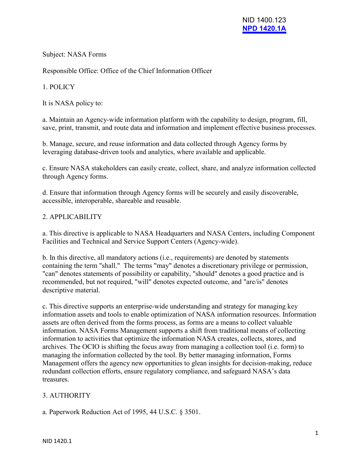Subject: NASA Forms

Responsible Office: Office of the Chief Information Officer

1. POLICY

It is NASA policy to:

a. Maintain an Agency-wide information platform with the capability to design, program, fill, save, print, transmit, and route data and information and implement effective business processes.

b. Manage, secure, and reuse information and data collected through Agency forms by leveraging database-driven tools and analytics, where available and applicable.

c. Ensure NASA stakeholders can easily create, collect, share, and analyze information collected through Agency forms.

d. Ensure that information through Agency forms will be securely and easily discoverable, accessible, interoperable, shareable and reusable.

### 2. APPLICABILITY

a. This directive is applicable to NASA Headquarters and NASA Centers, including Component Facilities and Technical and Service Support Centers (Agency-wide).

b. In this directive, all mandatory actions (i.e., requirements) are denoted by statements containing the term "shall." The terms "may" denotes a discretionary privilege or permission, "can" denotes statements of possibility or capability, "should" denotes a good practice and is recommended, but not required, "will" denotes expected outcome, and "are/is" denotes descriptive material.

c. This directive supports an enterprise-wide understanding and strategy for managing key information assets and tools to enable optimization of NASA information resources. Information assets are often derived from the forms process, as forms are a means to collect valuable information. NASA Forms Management supports a shift from traditional means of collecting information to activities that optimize the information NASA creates, collects, stores, and archives. The OCIO is shifting the focus away from managing a collection tool (i.e. form) to managing the information collected by the tool. By better managing information, Forms Management offers the agency new opportunities to glean insights for decision-making, reduce redundant collection efforts, ensure regulatory compliance, and safeguard NASA's data treasures.

# 3. AUTHORITY

a. Paperwork Reduction Act of 1995, 44 U.S.C. § 3501.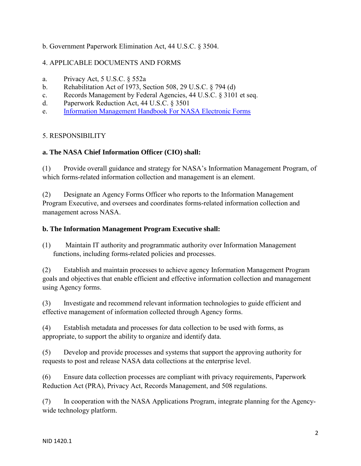### b. Government Paperwork Elimination Act, 44 U.S.C. § 3504.

## 4. APPLICABLE DOCUMENTS AND FORMS

- a. Privacy Act, 5 U.S.C. § 552a
- b. Rehabilitation Act of 1973, Section 508, 29 U.S.C. § 794 (d)
- c. Records Management by Federal Agencies, 44 U.S.C. § 3101 et seq.
- d. Paperwork Reduction Act, 44 U.S.C. § 3501
- e. [Information Management Handbook For NASA Electronic Forms](https://nodis-dms.gsfc.nasa.gov/library/OPD_docs/NAII_1420_1_.pdf)

### 5. RESPONSIBILITY

### **a. The NASA Chief Information Officer (CIO) shall:**

(1) Provide overall guidance and strategy for NASA's Information Management Program, of which forms-related information collection and management is an element.

(2) Designate an Agency Forms Officer who reports to the Information Management Program Executive, and oversees and coordinates forms-related information collection and management across NASA.

### **b. The Information Management Program Executive shall:**

(1) Maintain IT authority and programmatic authority over Information Management functions, including forms-related policies and processes.

(2) Establish and maintain processes to achieve agency Information Management Program goals and objectives that enable efficient and effective information collection and management using Agency forms.

(3) Investigate and recommend relevant information technologies to guide efficient and effective management of information collected through Agency forms.

(4) Establish metadata and processes for data collection to be used with forms, as appropriate, to support the ability to organize and identify data.

(5) Develop and provide processes and systems that support the approving authority for requests to post and release NASA data collections at the enterprise level.

(6) Ensure data collection processes are compliant with privacy requirements, Paperwork Reduction Act (PRA), Privacy Act, Records Management, and 508 regulations.

(7) In cooperation with the NASA Applications Program, integrate planning for the Agencywide technology platform.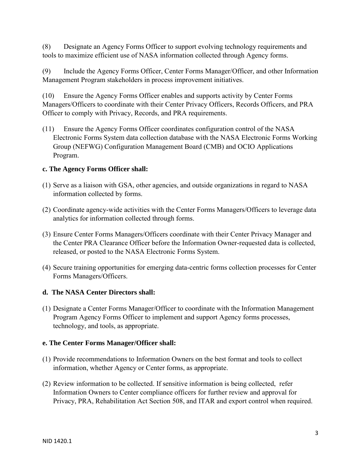(8) Designate an Agency Forms Officer to support evolving technology requirements and tools to maximize efficient use of NASA information collected through Agency forms.

(9) Include the Agency Forms Officer, Center Forms Manager/Officer, and other Information Management Program stakeholders in process improvement initiatives.

(10) Ensure the Agency Forms Officer enables and supports activity by Center Forms Managers/Officers to coordinate with their Center Privacy Officers, Records Officers, and PRA Officer to comply with Privacy, Records, and PRA requirements.

(11) Ensure the Agency Forms Officer coordinates configuration control of the NASA Electronic Forms System data collection database with the NASA Electronic Forms Working Group (NEFWG) Configuration Management Board (CMB) and OCIO Applications Program.

### **c. The Agency Forms Officer shall:**

- (1) Serve as a liaison with GSA, other agencies, and outside organizations in regard to NASA information collected by forms.
- (2) Coordinate agency-wide activities with the Center Forms Managers/Officers to leverage data analytics for information collected through forms.
- (3) Ensure Center Forms Managers/Officers coordinate with their Center Privacy Manager and the Center PRA Clearance Officer before the Information Owner-requested data is collected, released, or posted to the NASA Electronic Forms System.
- (4) Secure training opportunities for emerging data-centric forms collection processes for Center Forms Managers/Officers.

### **d. The NASA Center Directors shall:**

(1) Designate a Center Forms Manager/Officer to coordinate with the Information Management Program Agency Forms Officer to implement and support Agency forms processes, technology, and tools, as appropriate.

### **e. The Center Forms Manager/Officer shall:**

- (1) Provide recommendations to Information Owners on the best format and tools to collect information, whether Agency or Center forms, as appropriate.
- (2) Review information to be collected. If sensitive information is being collected, refer Information Owners to Center compliance officers for further review and approval for Privacy, PRA, Rehabilitation Act Section 508, and ITAR and export control when required.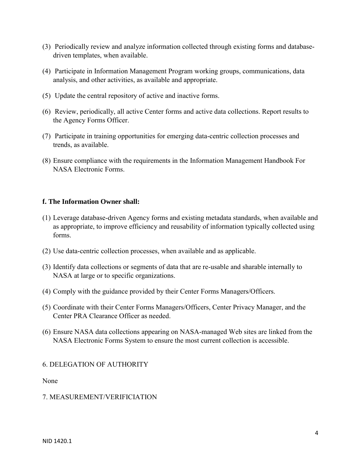- (3) Periodically review and analyze information collected through existing forms and databasedriven templates, when available.
- (4) Participate in Information Management Program working groups, communications, data analysis, and other activities, as available and appropriate.
- (5) Update the central repository of active and inactive forms.
- (6) Review, periodically, all active Center forms and active data collections. Report results to the Agency Forms Officer.
- (7) Participate in training opportunities for emerging data-centric collection processes and trends, as available.
- (8) Ensure compliance with the requirements in the Information Management Handbook For NASA Electronic Forms.

#### **f. The Information Owner shall:**

- (1) Leverage database-driven Agency forms and existing metadata standards, when available and as appropriate, to improve efficiency and reusability of information typically collected using forms.
- (2) Use data-centric collection processes, when available and as applicable.
- (3) Identify data collections or segments of data that are re-usable and sharable internally to NASA at large or to specific organizations.
- (4) Comply with the guidance provided by their Center Forms Managers/Officers.
- (5) Coordinate with their Center Forms Managers/Officers, Center Privacy Manager, and the Center PRA Clearance Officer as needed.
- (6) Ensure NASA data collections appearing on NASA-managed Web sites are linked from the NASA Electronic Forms System to ensure the most current collection is accessible.

### 6. DELEGATION OF AUTHORITY

None

### 7. MEASUREMENT/VERIFICIATION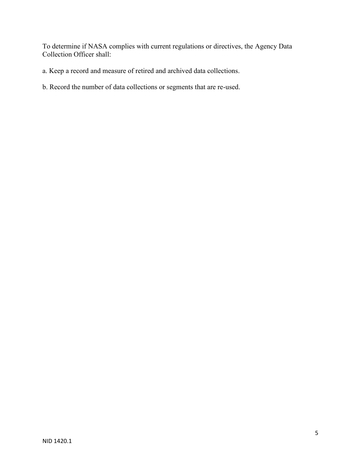To determine if NASA complies with current regulations or directives, the Agency Data Collection Officer shall:

- a. Keep a record and measure of retired and archived data collections.
- b. Record the number of data collections or segments that are re-used.